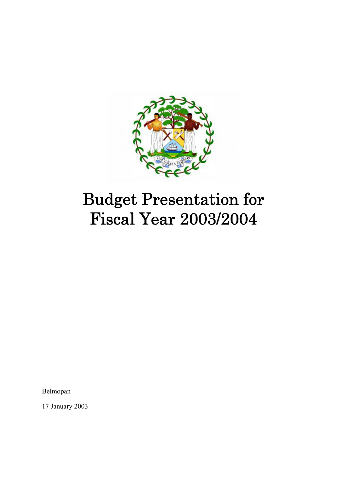

# Budget Presentation for Fiscal Year 2003/2004

Belmopan

17 January 2003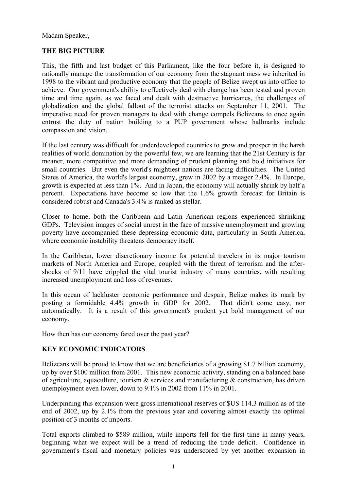Madam Speaker,

#### **THE BIG PICTURE**

This, the fifth and last budget of this Parliament, like the four before it, is designed to rationally manage the transformation of our economy from the stagnant mess we inherited in 1998 to the vibrant and productive economy that the people of Belize swept us into office to achieve. Our government's ability to effectively deal with change has been tested and proven time and time again, as we faced and dealt with destructive hurricanes, the challenges of globalization and the global fallout of the terrorist attacks on September 11, 2001. The imperative need for proven managers to deal with change compels Belizeans to once again entrust the duty of nation building to a PUP government whose hallmarks include compassion and vision.

If the last century was difficult for underdeveloped countries to grow and prosper in the harsh realities of world domination by the powerful few, we are learning that the 21st Century is far meaner, more competitive and more demanding of prudent planning and bold initiatives for small countries. But even the world's mightiest nations are facing difficulties. The United States of America, the world's largest economy, grew in 2002 by a meager 2.4%. In Europe, growth is expected at less than 1%. And in Japan, the economy will actually shrink by half a percent. Expectations have become so low that the 1.6% growth forecast for Britain is considered robust and Canada's 3.4% is ranked as stellar.

Closer to home, both the Caribbean and Latin American regions experienced shrinking GDPs. Television images of social unrest in the face of massive unemployment and growing poverty have accompanied these depressing economic data, particularly in South America, where economic instability threatens democracy itself.

In the Caribbean, lower discretionary income for potential travelers in its major tourism markets of North America and Europe, coupled with the threat of terrorism and the aftershocks of 9/11 have crippled the vital tourist industry of many countries, with resulting increased unemployment and loss of revenues.

In this ocean of lackluster economic performance and despair, Belize makes its mark by posting a formidable 4.4% growth in GDP for 2002. That didn't come easy, nor automatically. It is a result of this government's prudent yet bold management of our economy.

How then has our economy fared over the past year?

### **KEY ECONOMIC INDICATORS**

Belizeans will be proud to know that we are beneficiaries of a growing \$1.7 billion economy, up by over \$100 million from 2001. This new economic activity, standing on a balanced base of agriculture, aquaculture, tourism  $\&$  services and manufacturing  $\&$  construction, has driven unemployment even lower, down to 9.1% in 2002 from 11% in 2001.

Underpinning this expansion were gross international reserves of \$US 114.3 million as of the end of 2002, up by 2.1% from the previous year and covering almost exactly the optimal position of 3 months of imports.

Total exports climbed to \$589 million, while imports fell for the first time in many years, beginning what we expect will be a trend of reducing the trade deficit. Confidence in government's fiscal and monetary policies was underscored by yet another expansion in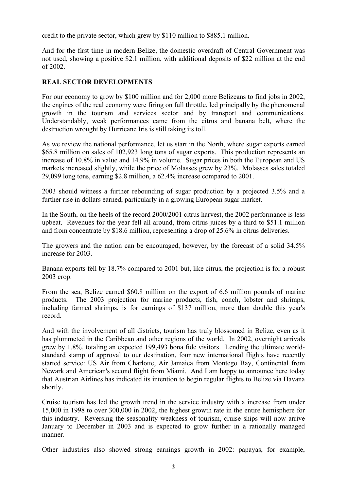credit to the private sector, which grew by \$110 million to \$885.1 million.

And for the first time in modern Belize, the domestic overdraft of Central Government was not used, showing a positive \$2.1 million, with additional deposits of \$22 million at the end of 2002.

### **REAL SECTOR DEVELOPMENTS**

For our economy to grow by \$100 million and for 2,000 more Belizeans to find jobs in 2002, the engines of the real economy were firing on full throttle, led principally by the phenomenal growth in the tourism and services sector and by transport and communications. Understandably, weak performances came from the citrus and banana belt, where the destruction wrought by Hurricane Iris is still taking its toll.

As we review the national performance, let us start in the North, where sugar exports earned \$65.8 million on sales of 102,923 long tons of sugar exports. This production represents an increase of 10.8% in value and 14.9% in volume. Sugar prices in both the European and US markets increased slightly, while the price of Molasses grew by 23%. Molasses sales totaled 29,099 long tons, earning \$2.8 million, a 62.4% increase compared to 2001.

2003 should witness a further rebounding of sugar production by a projected 3.5% and a further rise in dollars earned, particularly in a growing European sugar market.

In the South, on the heels of the record 2000/2001 citrus harvest, the 2002 performance is less upbeat. Revenues for the year fell all around, from citrus juices by a third to \$51.1 million and from concentrate by \$18.6 million, representing a drop of 25.6% in citrus deliveries.

The growers and the nation can be encouraged, however, by the forecast of a solid 34.5% increase for 2003.

Banana exports fell by 18.7% compared to 2001 but, like citrus, the projection is for a robust 2003 crop.

From the sea, Belize earned \$60.8 million on the export of 6.6 million pounds of marine products. The 2003 projection for marine products, fish, conch, lobster and shrimps, including farmed shrimps, is for earnings of \$137 million, more than double this year's record.

And with the involvement of all districts, tourism has truly blossomed in Belize, even as it has plummeted in the Caribbean and other regions of the world. In 2002, overnight arrivals grew by 1.8%, totaling an expected 199,493 bona fide visitors. Lending the ultimate worldstandard stamp of approval to our destination, four new international flights have recently started service: US Air from Charlotte, Air Jamaica from Montego Bay, Continental from Newark and American's second flight from Miami. And I am happy to announce here today that Austrian Airlines has indicated its intention to begin regular flights to Belize via Havana shortly.

Cruise tourism has led the growth trend in the service industry with a increase from under 15,000 in 1998 to over 300,000 in 2002, the highest growth rate in the entire hemisphere for this industry. Reversing the seasonality weakness of tourism, cruise ships will now arrive January to December in 2003 and is expected to grow further in a rationally managed manner.

Other industries also showed strong earnings growth in 2002: papayas, for example,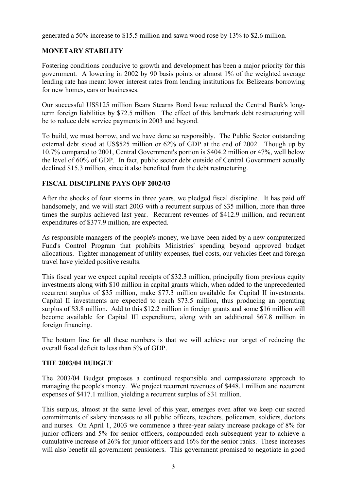generated a 50% increase to \$15.5 million and sawn wood rose by 13% to \$2.6 million.

## **MONETARY STABILITY**

Fostering conditions conducive to growth and development has been a major priority for this government. A lowering in 2002 by 90 basis points or almost 1% of the weighted average lending rate has meant lower interest rates from lending institutions for Belizeans borrowing for new homes, cars or businesses.

Our successful US\$125 million Bears Stearns Bond Issue reduced the Central Bank's longterm foreign liabilities by \$72.5 million. The effect of this landmark debt restructuring will be to reduce debt service payments in 2003 and beyond.

To build, we must borrow, and we have done so responsibly. The Public Sector outstanding external debt stood at US\$525 million or 62% of GDP at the end of 2002. Though up by 10.7% compared to 2001, Central Government's portion is \$404.2 million or 47%, well below the level of 60% of GDP. In fact, public sector debt outside of Central Government actually declined \$15.3 million, since it also benefited from the debt restructuring.

### **FISCAL DISCIPLINE PAYS OFF 2002/03**

After the shocks of four storms in three years, we pledged fiscal discipline. It has paid off handsomely, and we will start 2003 with a recurrent surplus of \$35 million, more than three times the surplus achieved last year. Recurrent revenues of \$412.9 million, and recurrent expenditures of \$377.9 million, are expected.

As responsible managers of the people's money, we have been aided by a new computerized Fund's Control Program that prohibits Ministries' spending beyond approved budget allocations. Tighter management of utility expenses, fuel costs, our vehicles fleet and foreign travel have yielded positive results.

This fiscal year we expect capital receipts of \$32.3 million, principally from previous equity investments along with \$10 million in capital grants which, when added to the unprecedented recurrent surplus of \$35 million, make \$77.3 million available for Capital II investments. Capital II investments are expected to reach \$73.5 million, thus producing an operating surplus of \$3.8 million. Add to this \$12.2 million in foreign grants and some \$16 million will become available for Capital III expenditure, along with an additional \$67.8 million in foreign financing.

The bottom line for all these numbers is that we will achieve our target of reducing the overall fiscal deficit to less than 5% of GDP.

### **THE 2003/04 BUDGET**

The 2003/04 Budget proposes a continued responsible and compassionate approach to managing the people's money. We project recurrent revenues of \$448.1 million and recurrent expenses of \$417.1 million, yielding a recurrent surplus of \$31 million.

This surplus, almost at the same level of this year, emerges even after we keep our sacred commitments of salary increases to all public officers, teachers, policemen, soldiers, doctors and nurses. On April 1, 2003 we commence a three-year salary increase package of 8% for junior officers and 5% for senior officers, compounded each subsequent year to achieve a cumulative increase of 26% for junior officers and 16% for the senior ranks. These increases will also benefit all government pensioners. This government promised to negotiate in good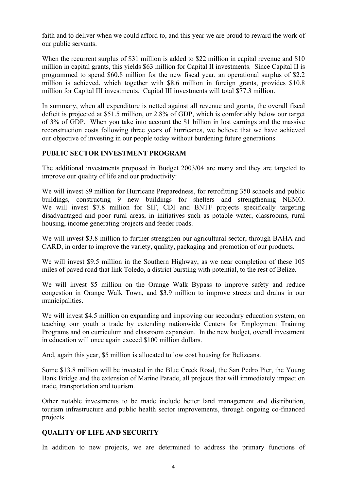faith and to deliver when we could afford to, and this year we are proud to reward the work of our public servants.

When the recurrent surplus of \$31 million is added to \$22 million in capital revenue and \$10 million in capital grants, this yields \$63 million for Capital II investments. Since Capital II is programmed to spend \$60.8 million for the new fiscal year, an operational surplus of \$2.2 million is achieved, which together with \$8.6 million in foreign grants, provides \$10.8 million for Capital III investments. Capital III investments will total \$77.3 million.

In summary, when all expenditure is netted against all revenue and grants, the overall fiscal deficit is projected at \$51.5 million, or 2.8% of GDP, which is comfortably below our target of 3% of GDP. When you take into account the \$1 billion in lost earnings and the massive reconstruction costs following three years of hurricanes, we believe that we have achieved our objective of investing in our people today without burdening future generations.

### **PUBLIC SECTOR INVESTMENT PROGRAM**

The additional investments proposed in Budget 2003/04 are many and they are targeted to improve our quality of life and our productivity:

We will invest \$9 million for Hurricane Preparedness, for retrofitting 350 schools and public buildings, constructing 9 new buildings for shelters and strengthening NEMO. We will invest \$7.8 million for SIF, CDI and BNTF projects specifically targeting disadvantaged and poor rural areas, in initiatives such as potable water, classrooms, rural housing, income generating projects and feeder roads.

We will invest \$3.8 million to further strengthen our agricultural sector, through BAHA and CARD, in order to improve the variety, quality, packaging and promotion of our products.

We will invest \$9.5 million in the Southern Highway, as we near completion of these 105 miles of paved road that link Toledo, a district bursting with potential, to the rest of Belize.

We will invest \$5 million on the Orange Walk Bypass to improve safety and reduce congestion in Orange Walk Town, and \$3.9 million to improve streets and drains in our municipalities.

We will invest \$4.5 million on expanding and improving our secondary education system, on teaching our youth a trade by extending nationwide Centers for Employment Training Programs and on curriculum and classroom expansion. In the new budget, overall investment in education will once again exceed \$100 million dollars.

And, again this year, \$5 million is allocated to low cost housing for Belizeans.

Some \$13.8 million will be invested in the Blue Creek Road, the San Pedro Pier, the Young Bank Bridge and the extension of Marine Parade, all projects that will immediately impact on trade, transportation and tourism.

Other notable investments to be made include better land management and distribution, tourism infrastructure and public health sector improvements, through ongoing co-financed projects.

### **QUALITY OF LIFE AND SECURITY**

In addition to new projects, we are determined to address the primary functions of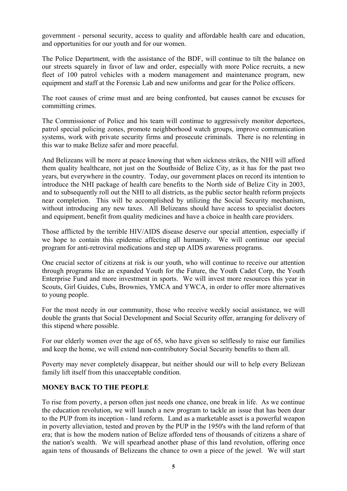government - personal security, access to quality and affordable health care and education, and opportunities for our youth and for our women.

The Police Department, with the assistance of the BDF, will continue to tilt the balance on our streets squarely in favor of law and order, especially with more Police recruits, a new fleet of 100 patrol vehicles with a modern management and maintenance program, new equipment and staff at the Forensic Lab and new uniforms and gear for the Police officers.

The root causes of crime must and are being confronted, but causes cannot be excuses for committing crimes.

The Commissioner of Police and his team will continue to aggressively monitor deportees, patrol special policing zones, promote neighborhood watch groups, improve communication systems, work with private security firms and prosecute criminals. There is no relenting in this war to make Belize safer and more peaceful.

And Belizeans will be more at peace knowing that when sickness strikes, the NHI will afford them quality healthcare, not just on the Southside of Belize City, as it has for the past two years, but everywhere in the country. Today, our government places on record its intention to introduce the NHI package of health care benefits to the North side of Belize City in 2003, and to subsequently roll out the NHI to all districts, as the public sector health reform projects near completion. This will be accomplished by utilizing the Social Security mechanism, without introducing any new taxes. All Belizeans should have access to specialist doctors and equipment, benefit from quality medicines and have a choice in health care providers.

Those afflicted by the terrible HIV/AIDS disease deserve our special attention, especially if we hope to contain this epidemic affecting all humanity. We will continue our special program for anti-retroviral medications and step up AIDS awareness programs.

One crucial sector of citizens at risk is our youth, who will continue to receive our attention through programs like an expanded Youth for the Future, the Youth Cadet Corp, the Youth Enterprise Fund and more investment in sports. We will invest more resources this year in Scouts, Girl Guides, Cubs, Brownies, YMCA and YWCA, in order to offer more alternatives to young people.

For the most needy in our community, those who receive weekly social assistance, we will double the grants that Social Development and Social Security offer, arranging for delivery of this stipend where possible.

For our elderly women over the age of 65, who have given so selflessly to raise our families and keep the home, we will extend non-contributory Social Security benefits to them all.

Poverty may never completely disappear, but neither should our will to help every Belizean family lift itself from this unacceptable condition.

### **MONEY BACK TO THE PEOPLE**

To rise from poverty, a person often just needs one chance, one break in life. As we continue the education revolution, we will launch a new program to tackle an issue that has been dear to the PUP from its inception - land reform. Land as a marketable asset is a powerful weapon in poverty alleviation, tested and proven by the PUP in the 1950's with the land reform of that era; that is how the modern nation of Belize afforded tens of thousands of citizens a share of the nation's wealth. We will spearhead another phase of this land revolution, offering once again tens of thousands of Belizeans the chance to own a piece of the jewel. We will start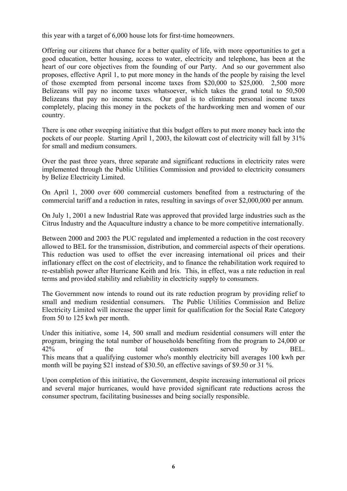this year with a target of 6,000 house lots for first-time homeowners.

Offering our citizens that chance for a better quality of life, with more opportunities to get a good education, better housing, access to water, electricity and telephone, has been at the heart of our core objectives from the founding of our Party. And so our government also proposes, effective April 1, to put more money in the hands of the people by raising the level of those exempted from personal income taxes from \$20,000 to \$25,000. 2,500 more Belizeans will pay no income taxes whatsoever, which takes the grand total to 50,500 Belizeans that pay no income taxes. Our goal is to eliminate personal income taxes completely, placing this money in the pockets of the hardworking men and women of our country.

There is one other sweeping initiative that this budget offers to put more money back into the pockets of our people. Starting April 1, 2003, the kilowatt cost of electricity will fall by 31% for small and medium consumers.

Over the past three years, three separate and significant reductions in electricity rates were implemented through the Public Utilities Commission and provided to electricity consumers by Belize Electricity Limited.

On April 1, 2000 over 600 commercial customers benefited from a restructuring of the commercial tariff and a reduction in rates, resulting in savings of over \$2,000,000 per annum.

On July 1, 2001 a new Industrial Rate was approved that provided large industries such as the Citrus Industry and the Aquaculture industry a chance to be more competitive internationally.

Between 2000 and 2003 the PUC regulated and implemented a reduction in the cost recovery allowed to BEL for the transmission, distribution, and commercial aspects of their operations. This reduction was used to offset the ever increasing international oil prices and their inflationary effect on the cost of electricity, and to finance the rehabilitation work required to re-establish power after Hurricane Keith and Iris. This, in effect, was a rate reduction in real terms and provided stability and reliability in electricity supply to consumers.

The Government now intends to round out its rate reduction program by providing relief to small and medium residential consumers. The Public Utilities Commission and Belize Electricity Limited will increase the upper limit for qualification for the Social Rate Category from 50 to 125 kwh per month.

Under this initiative, some 14, 500 small and medium residential consumers will enter the program, bringing the total number of households benefiting from the program to 24,000 or 42% of the total customers served by BEL. This means that a qualifying customer who's monthly electricity bill averages 100 kwh per month will be paying \$21 instead of \$30.50, an effective savings of \$9.50 or 31 %.

Upon completion of this initiative, the Government, despite increasing international oil prices and several major hurricanes, would have provided significant rate reductions across the consumer spectrum, facilitating businesses and being socially responsible.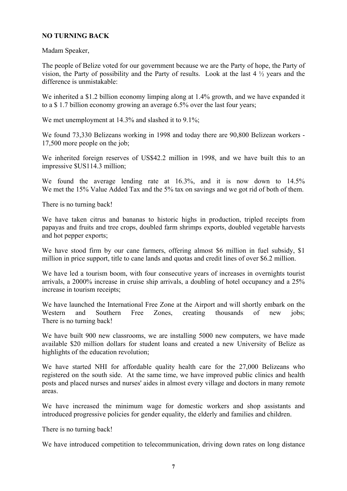#### **NO TURNING BACK**

Madam Speaker,

The people of Belize voted for our government because we are the Party of hope, the Party of vision, the Party of possibility and the Party of results. Look at the last 4 ½ years and the difference is unmistakable:

We inherited a \$1.2 billion economy limping along at 1.4% growth, and we have expanded it to a \$ 1.7 billion economy growing an average 6.5% over the last four years;

We met unemployment at 14.3% and slashed it to 9.1%;

We found 73,330 Belizeans working in 1998 and today there are 90,800 Belizean workers - 17,500 more people on the job;

We inherited foreign reserves of US\$42.2 million in 1998, and we have built this to an impressive \$US114.3 million;

We found the average lending rate at 16.3%, and it is now down to 14.5% We met the 15% Value Added Tax and the 5% tax on savings and we got rid of both of them.

There is no turning back!

We have taken citrus and bananas to historic highs in production, tripled receipts from papayas and fruits and tree crops, doubled farm shrimps exports, doubled vegetable harvests and hot pepper exports;

We have stood firm by our cane farmers, offering almost \$6 million in fuel subsidy, \$1 million in price support, title to cane lands and quotas and credit lines of over \$6.2 million.

We have led a tourism boom, with four consecutive years of increases in overnights tourist arrivals, a 2000% increase in cruise ship arrivals, a doubling of hotel occupancy and a 25% increase in tourism receipts;

We have launched the International Free Zone at the Airport and will shortly embark on the Western and Southern Free Zones, creating thousands of new jobs; There is no turning back!

We have built 900 new classrooms, we are installing 5000 new computers, we have made available \$20 million dollars for student loans and created a new University of Belize as highlights of the education revolution;

We have started NHI for affordable quality health care for the 27,000 Belizeans who registered on the south side. At the same time, we have improved public clinics and health posts and placed nurses and nurses' aides in almost every village and doctors in many remote areas.

We have increased the minimum wage for domestic workers and shop assistants and introduced progressive policies for gender equality, the elderly and families and children.

There is no turning back!

We have introduced competition to telecommunication, driving down rates on long distance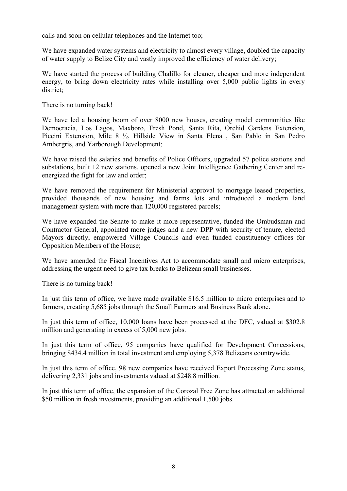calls and soon on cellular telephones and the Internet too;

We have expanded water systems and electricity to almost every village, doubled the capacity of water supply to Belize City and vastly improved the efficiency of water delivery;

We have started the process of building Chalillo for cleaner, cheaper and more independent energy, to bring down electricity rates while installing over 5,000 public lights in every district;

There is no turning back!

We have led a housing boom of over 8000 new houses, creating model communities like Democracia, Los Lagos, Maxboro, Fresh Pond, Santa Rita, Orchid Gardens Extension, Piccini Extension, Mile 8 ½, Hillside View in Santa Elena , San Pablo in San Pedro Ambergris, and Yarborough Development;

We have raised the salaries and benefits of Police Officers, upgraded 57 police stations and substations, built 12 new stations, opened a new Joint Intelligence Gathering Center and reenergized the fight for law and order;

We have removed the requirement for Ministerial approval to mortgage leased properties, provided thousands of new housing and farms lots and introduced a modern land management system with more than 120,000 registered parcels;

We have expanded the Senate to make it more representative, funded the Ombudsman and Contractor General, appointed more judges and a new DPP with security of tenure, elected Mayors directly, empowered Village Councils and even funded constituency offices for Opposition Members of the House;

We have amended the Fiscal Incentives Act to accommodate small and micro enterprises, addressing the urgent need to give tax breaks to Belizean small businesses.

There is no turning back!

In just this term of office, we have made available \$16.5 million to micro enterprises and to farmers, creating 5,685 jobs through the Small Farmers and Business Bank alone.

In just this term of office, 10,000 loans have been processed at the DFC, valued at \$302.8 million and generating in excess of 5,000 new jobs.

In just this term of office, 95 companies have qualified for Development Concessions, bringing \$434.4 million in total investment and employing 5,378 Belizeans countrywide.

In just this term of office, 98 new companies have received Export Processing Zone status, delivering 2,331 jobs and investments valued at \$248.8 million.

In just this term of office, the expansion of the Corozal Free Zone has attracted an additional \$50 million in fresh investments, providing an additional 1,500 jobs.